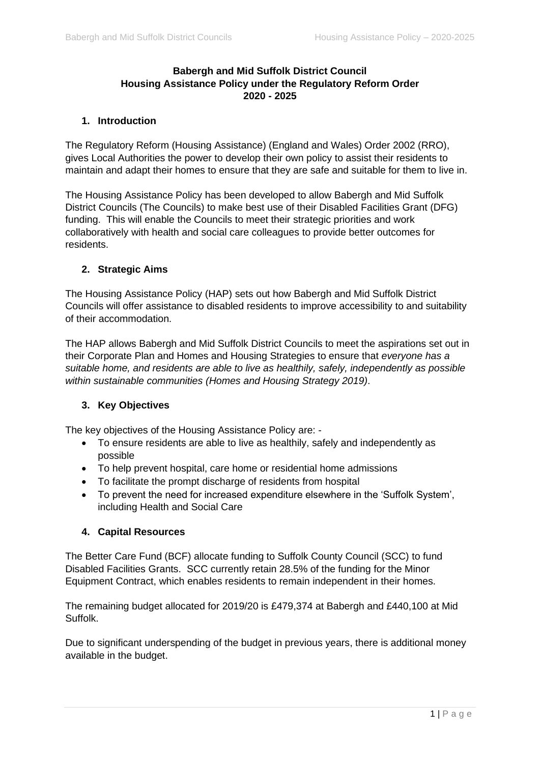# **Babergh and Mid Suffolk District Council Housing Assistance Policy under the Regulatory Reform Order 2020 - 2025**

# **1. Introduction**

The Regulatory Reform (Housing Assistance) (England and Wales) Order 2002 (RRO), gives Local Authorities the power to develop their own policy to assist their residents to maintain and adapt their homes to ensure that they are safe and suitable for them to live in.

The Housing Assistance Policy has been developed to allow Babergh and Mid Suffolk District Councils (The Councils) to make best use of their Disabled Facilities Grant (DFG) funding. This will enable the Councils to meet their strategic priorities and work collaboratively with health and social care colleagues to provide better outcomes for residents.

#### **2. Strategic Aims**

The Housing Assistance Policy (HAP) sets out how Babergh and Mid Suffolk District Councils will offer assistance to disabled residents to improve accessibility to and suitability of their accommodation.

The HAP allows Babergh and Mid Suffolk District Councils to meet the aspirations set out in their Corporate Plan and Homes and Housing Strategies to ensure that *everyone has a suitable home, and residents are able to live as healthily, safely, independently as possible within sustainable communities (Homes and Housing Strategy 2019)*.

# **3. Key Objectives**

The key objectives of the Housing Assistance Policy are: -

- To ensure residents are able to live as healthily, safely and independently as possible
- To help prevent hospital, care home or residential home admissions
- To facilitate the prompt discharge of residents from hospital
- To prevent the need for increased expenditure elsewhere in the 'Suffolk System', including Health and Social Care

# **4. Capital Resources**

The Better Care Fund (BCF) allocate funding to Suffolk County Council (SCC) to fund Disabled Facilities Grants. SCC currently retain 28.5% of the funding for the Minor Equipment Contract, which enables residents to remain independent in their homes.

The remaining budget allocated for 2019/20 is £479,374 at Babergh and £440,100 at Mid Suffolk.

Due to significant underspending of the budget in previous years, there is additional money available in the budget.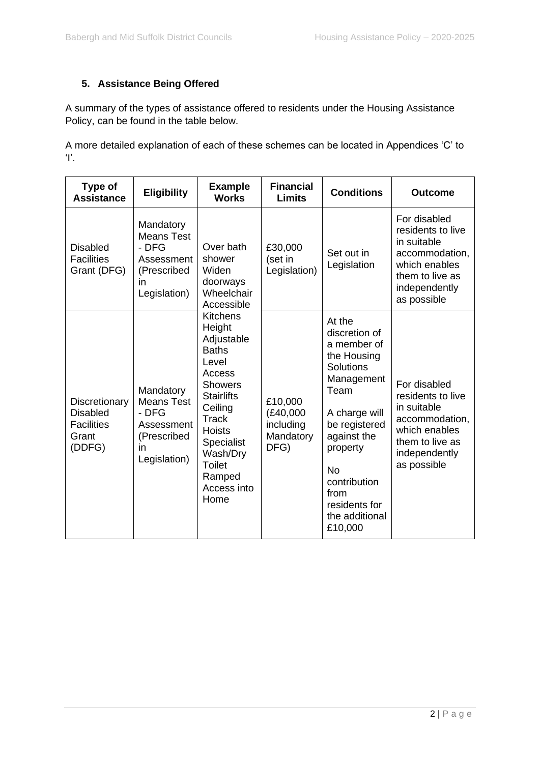# **5. Assistance Being Offered**

A summary of the types of assistance offered to residents under the Housing Assistance Policy, can be found in the table below.

A more detailed explanation of each of these schemes can be located in Appendices 'C' to 'I'.

| Type of<br><b>Assistance</b>                                             | <b>Eligibility</b>                                                                         | <b>Example</b><br><b>Works</b>                                                                                                                                                                                                                                                                                    | <b>Financial</b><br><b>Limits</b>                      | <b>Conditions</b>                                                                                                                                                                                                                               | <b>Outcome</b>                                                                                                                         |
|--------------------------------------------------------------------------|--------------------------------------------------------------------------------------------|-------------------------------------------------------------------------------------------------------------------------------------------------------------------------------------------------------------------------------------------------------------------------------------------------------------------|--------------------------------------------------------|-------------------------------------------------------------------------------------------------------------------------------------------------------------------------------------------------------------------------------------------------|----------------------------------------------------------------------------------------------------------------------------------------|
| <b>Disabled</b><br><b>Facilities</b><br>Grant (DFG)                      | Mandatory<br><b>Means Test</b><br>- DFG<br>Assessment<br>(Prescribed<br>in<br>Legislation) | Over bath<br>shower<br>Widen<br>doorways<br>Wheelchair<br>Accessible<br><b>Kitchens</b><br>Height<br>Adjustable<br><b>Baths</b><br>Level<br>Access<br><b>Showers</b><br><b>Stairlifts</b><br>Ceiling<br><b>Track</b><br><b>Hoists</b><br>Specialist<br>Wash/Dry<br><b>Toilet</b><br>Ramped<br>Access into<br>Home | £30,000<br>(set in<br>Legislation)                     | Set out in<br>Legislation                                                                                                                                                                                                                       | For disabled<br>residents to live<br>in suitable<br>accommodation,<br>which enables<br>them to live as<br>independently<br>as possible |
| Discretionary<br><b>Disabled</b><br><b>Facilities</b><br>Grant<br>(DDFG) | Mandatory<br><b>Means Test</b><br>- DFG<br>Assessment<br>(Prescribed<br>in<br>Legislation) |                                                                                                                                                                                                                                                                                                                   | £10,000<br>(E40,000)<br>including<br>Mandatory<br>DFG) | At the<br>discretion of<br>a member of<br>the Housing<br><b>Solutions</b><br>Management<br>Team<br>A charge will<br>be registered<br>against the<br>property<br><b>No</b><br>contribution<br>from<br>residents for<br>the additional<br>£10,000 | For disabled<br>residents to live<br>in suitable<br>accommodation,<br>which enables<br>them to live as<br>independently<br>as possible |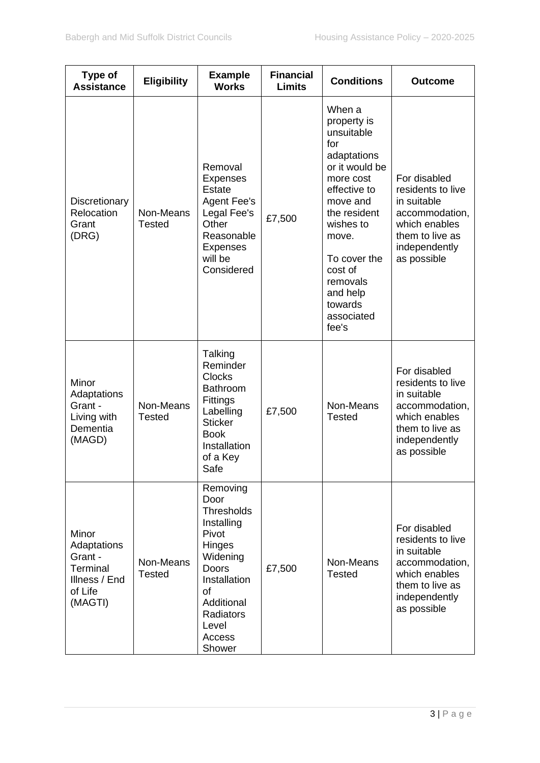| Type of<br><b>Assistance</b>                                                       | <b>Eligibility</b>         | <b>Example</b><br><b>Works</b>                                                                                                                                                   | <b>Financial</b><br><b>Limits</b> | <b>Conditions</b>                                                                                                                                                                                                                               | <b>Outcome</b>                                                                                                                         |
|------------------------------------------------------------------------------------|----------------------------|----------------------------------------------------------------------------------------------------------------------------------------------------------------------------------|-----------------------------------|-------------------------------------------------------------------------------------------------------------------------------------------------------------------------------------------------------------------------------------------------|----------------------------------------------------------------------------------------------------------------------------------------|
| Discretionary<br>Relocation<br>Grant<br>(DRG)                                      | Non-Means<br><b>Tested</b> | Removal<br><b>Expenses</b><br><b>Estate</b><br><b>Agent Fee's</b><br>Legal Fee's<br>Other<br>Reasonable<br><b>Expenses</b><br>will be<br>Considered                              | £7,500                            | When a<br>property is<br>unsuitable<br>for<br>adaptations<br>or it would be<br>more cost<br>effective to<br>move and<br>the resident<br>wishes to<br>move.<br>To cover the<br>cost of<br>removals<br>and help<br>towards<br>associated<br>fee's | For disabled<br>residents to live<br>in suitable<br>accommodation,<br>which enables<br>them to live as<br>independently<br>as possible |
| Minor<br>Adaptations<br>Grant -<br>Living with<br>Dementia<br>(MAGD)               | Non-Means<br><b>Tested</b> | Talking<br>Reminder<br><b>Clocks</b><br><b>Bathroom</b><br><b>Fittings</b><br>Labelling<br><b>Sticker</b><br><b>Book</b><br>Installation<br>of a Key<br>Safe                     | £7,500                            | Non-Means<br><b>Tested</b>                                                                                                                                                                                                                      | For disabled<br>residents to live<br>in suitable<br>accommodation,<br>which enables<br>them to live as<br>independently<br>as possible |
| Minor<br>Adaptations<br>Grant -<br>Terminal<br>Illness / End<br>of Life<br>(MAGTI) | Non-Means<br><b>Tested</b> | Removing<br>Door<br><b>Thresholds</b><br>Installing<br>Pivot<br>Hinges<br>Widening<br>Doors<br>Installation<br><b>of</b><br>Additional<br>Radiators<br>Level<br>Access<br>Shower | £7,500                            | Non-Means<br><b>Tested</b>                                                                                                                                                                                                                      | For disabled<br>residents to live<br>in suitable<br>accommodation,<br>which enables<br>them to live as<br>independently<br>as possible |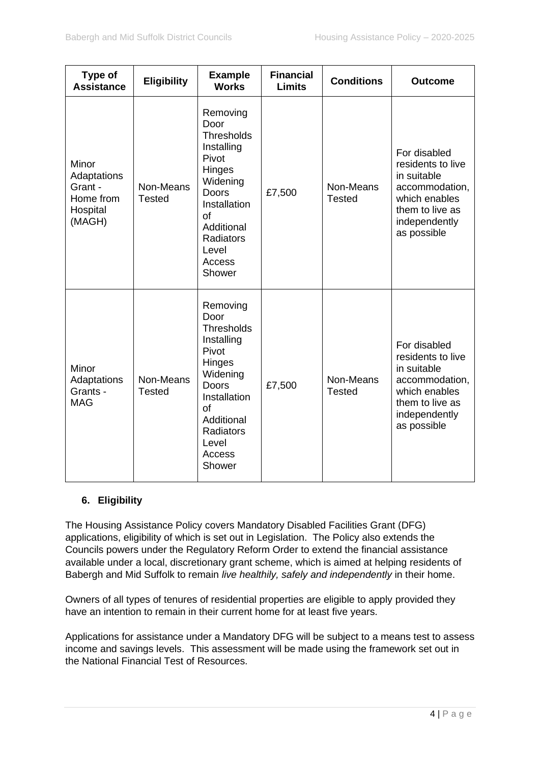| Type of<br><b>Assistance</b>                                       | <b>Eligibility</b>         | <b>Example</b><br><b>Works</b>                                                                                                                                                   | <b>Financial</b><br><b>Limits</b> | <b>Conditions</b>          | <b>Outcome</b>                                                                                                                         |
|--------------------------------------------------------------------|----------------------------|----------------------------------------------------------------------------------------------------------------------------------------------------------------------------------|-----------------------------------|----------------------------|----------------------------------------------------------------------------------------------------------------------------------------|
| Minor<br>Adaptations<br>Grant -<br>Home from<br>Hospital<br>(MAGH) | Non-Means<br><b>Tested</b> | Removing<br>Door<br><b>Thresholds</b><br>Installing<br>Pivot<br>Hinges<br>Widening<br>Doors<br>Installation<br>οf<br>Additional<br>Radiators<br>Level<br>Access<br>Shower        | £7,500                            | Non-Means<br><b>Tested</b> | For disabled<br>residents to live<br>in suitable<br>accommodation,<br>which enables<br>them to live as<br>independently<br>as possible |
| Minor<br>Adaptations<br>Grants -<br><b>MAG</b>                     | Non-Means<br><b>Tested</b> | Removing<br>Door<br><b>Thresholds</b><br>Installing<br>Pivot<br>Hinges<br>Widening<br><b>Doors</b><br>Installation<br>of<br>Additional<br>Radiators<br>Level<br>Access<br>Shower | £7,500                            | Non-Means<br><b>Tested</b> | For disabled<br>residents to live<br>in suitable<br>accommodation,<br>which enables<br>them to live as<br>independently<br>as possible |

# **6. Eligibility**

The Housing Assistance Policy covers Mandatory Disabled Facilities Grant (DFG) applications, eligibility of which is set out in Legislation. The Policy also extends the Councils powers under the Regulatory Reform Order to extend the financial assistance available under a local, discretionary grant scheme, which is aimed at helping residents of Babergh and Mid Suffolk to remain *live healthily, safely and independently* in their home.

Owners of all types of tenures of residential properties are eligible to apply provided they have an intention to remain in their current home for at least five years.

Applications for assistance under a Mandatory DFG will be subject to a means test to assess income and savings levels. This assessment will be made using the framework set out in the National Financial Test of Resources.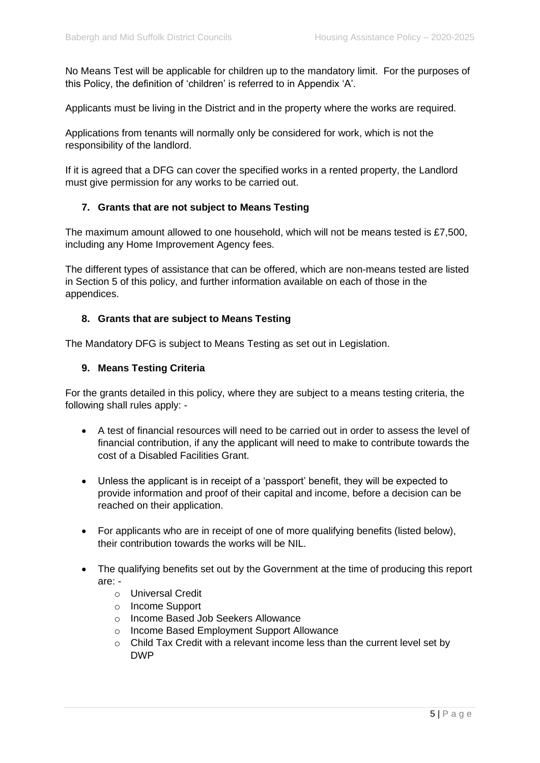No Means Test will be applicable for children up to the mandatory limit. For the purposes of this Policy, the definition of 'children' is referred to in Appendix 'A'.

Applicants must be living in the District and in the property where the works are required.

Applications from tenants will normally only be considered for work, which is not the responsibility of the landlord.

If it is agreed that a DFG can cover the specified works in a rented property, the Landlord must give permission for any works to be carried out.

#### **7. Grants that are not subject to Means Testing**

The maximum amount allowed to one household, which will not be means tested is £7,500, including any Home Improvement Agency fees.

The different types of assistance that can be offered, which are non-means tested are listed in Section 5 of this policy, and further information available on each of those in the appendices.

#### **8. Grants that are subject to Means Testing**

The Mandatory DFG is subject to Means Testing as set out in Legislation.

#### **9. Means Testing Criteria**

For the grants detailed in this policy, where they are subject to a means testing criteria, the following shall rules apply: -

- A test of financial resources will need to be carried out in order to assess the level of financial contribution, if any the applicant will need to make to contribute towards the cost of a Disabled Facilities Grant.
- Unless the applicant is in receipt of a 'passport' benefit, they will be expected to provide information and proof of their capital and income, before a decision can be reached on their application.
- For applicants who are in receipt of one of more qualifying benefits (listed below), their contribution towards the works will be NIL.
- The qualifying benefits set out by the Government at the time of producing this report are:
	- o Universal Credit
	- o Income Support
	- o Income Based Job Seekers Allowance
	- o Income Based Employment Support Allowance
	- o Child Tax Credit with a relevant income less than the current level set by DWP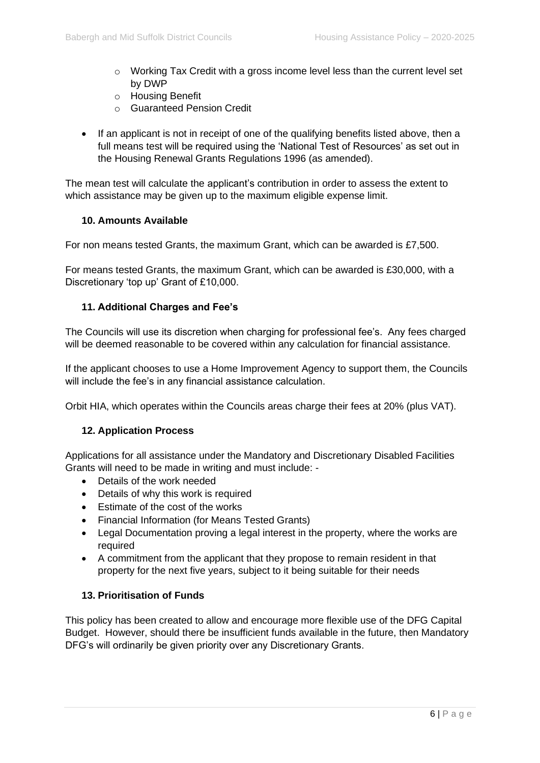- $\circ$  Working Tax Credit with a gross income level less than the current level set by DWP
- o Housing Benefit
- o Guaranteed Pension Credit
- If an applicant is not in receipt of one of the qualifying benefits listed above, then a full means test will be required using the 'National Test of Resources' as set out in the Housing Renewal Grants Regulations 1996 (as amended).

The mean test will calculate the applicant's contribution in order to assess the extent to which assistance may be given up to the maximum eligible expense limit.

# **10. Amounts Available**

For non means tested Grants, the maximum Grant, which can be awarded is £7,500.

For means tested Grants, the maximum Grant, which can be awarded is £30,000, with a Discretionary 'top up' Grant of £10,000.

# **11. Additional Charges and Fee's**

The Councils will use its discretion when charging for professional fee's. Any fees charged will be deemed reasonable to be covered within any calculation for financial assistance.

If the applicant chooses to use a Home Improvement Agency to support them, the Councils will include the fee's in any financial assistance calculation.

Orbit HIA, which operates within the Councils areas charge their fees at 20% (plus VAT).

# **12. Application Process**

Applications for all assistance under the Mandatory and Discretionary Disabled Facilities Grants will need to be made in writing and must include: -

- Details of the work needed
- Details of why this work is required
- Estimate of the cost of the works
- Financial Information (for Means Tested Grants)
- Legal Documentation proving a legal interest in the property, where the works are required
- A commitment from the applicant that they propose to remain resident in that property for the next five years, subject to it being suitable for their needs

#### **13. Prioritisation of Funds**

This policy has been created to allow and encourage more flexible use of the DFG Capital Budget. However, should there be insufficient funds available in the future, then Mandatory DFG's will ordinarily be given priority over any Discretionary Grants.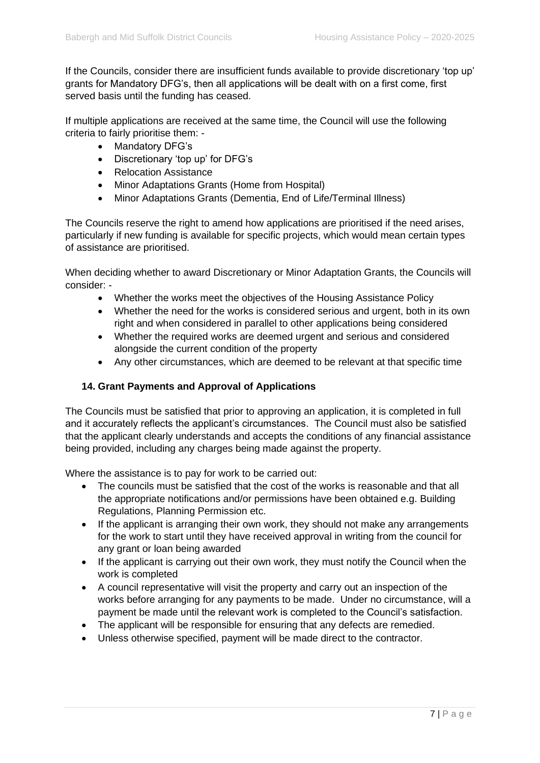If the Councils, consider there are insufficient funds available to provide discretionary 'top up' grants for Mandatory DFG's, then all applications will be dealt with on a first come, first served basis until the funding has ceased.

If multiple applications are received at the same time, the Council will use the following criteria to fairly prioritise them: -

- Mandatory DFG's
- Discretionary 'top up' for DFG's
- Relocation Assistance
- Minor Adaptations Grants (Home from Hospital)
- Minor Adaptations Grants (Dementia, End of Life/Terminal Illness)

The Councils reserve the right to amend how applications are prioritised if the need arises, particularly if new funding is available for specific projects, which would mean certain types of assistance are prioritised.

When deciding whether to award Discretionary or Minor Adaptation Grants, the Councils will consider: -

- Whether the works meet the objectives of the Housing Assistance Policy
- Whether the need for the works is considered serious and urgent, both in its own right and when considered in parallel to other applications being considered
- Whether the required works are deemed urgent and serious and considered alongside the current condition of the property
- Any other circumstances, which are deemed to be relevant at that specific time

# **14. Grant Payments and Approval of Applications**

The Councils must be satisfied that prior to approving an application, it is completed in full and it accurately reflects the applicant's circumstances. The Council must also be satisfied that the applicant clearly understands and accepts the conditions of any financial assistance being provided, including any charges being made against the property.

Where the assistance is to pay for work to be carried out:

- The councils must be satisfied that the cost of the works is reasonable and that all the appropriate notifications and/or permissions have been obtained e.g. Building Regulations, Planning Permission etc.
- If the applicant is arranging their own work, they should not make any arrangements for the work to start until they have received approval in writing from the council for any grant or loan being awarded
- If the applicant is carrying out their own work, they must notify the Council when the work is completed
- A council representative will visit the property and carry out an inspection of the works before arranging for any payments to be made. Under no circumstance, will a payment be made until the relevant work is completed to the Council's satisfaction.
- The applicant will be responsible for ensuring that any defects are remedied.
- Unless otherwise specified, payment will be made direct to the contractor.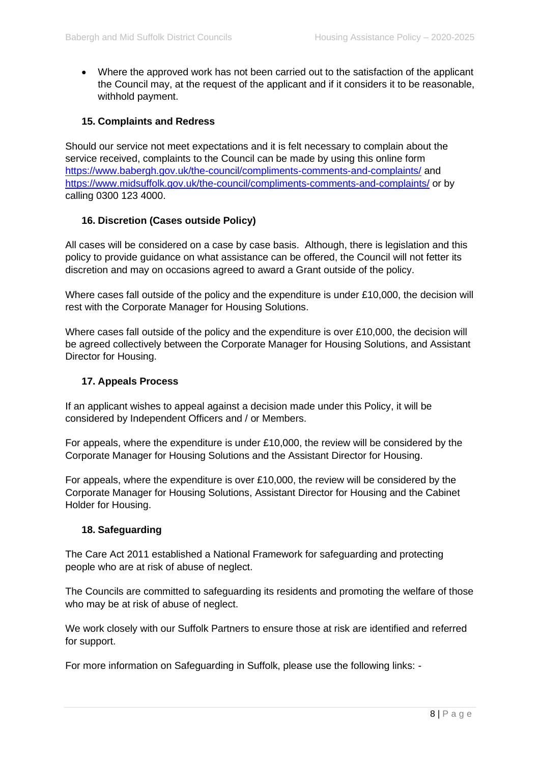• Where the approved work has not been carried out to the satisfaction of the applicant the Council may, at the request of the applicant and if it considers it to be reasonable, withhold payment.

# **15. Complaints and Redress**

Should our service not meet expectations and it is felt necessary to complain about the service received, complaints to the Council can be made by using this online form <https://www.babergh.gov.uk/the-council/compliments-comments-and-complaints/> and <https://www.midsuffolk.gov.uk/the-council/compliments-comments-and-complaints/> or by calling 0300 123 4000.

# **16. Discretion (Cases outside Policy)**

All cases will be considered on a case by case basis. Although, there is legislation and this policy to provide guidance on what assistance can be offered, the Council will not fetter its discretion and may on occasions agreed to award a Grant outside of the policy.

Where cases fall outside of the policy and the expenditure is under £10,000, the decision will rest with the Corporate Manager for Housing Solutions.

Where cases fall outside of the policy and the expenditure is over £10,000, the decision will be agreed collectively between the Corporate Manager for Housing Solutions, and Assistant Director for Housing.

### **17. Appeals Process**

If an applicant wishes to appeal against a decision made under this Policy, it will be considered by Independent Officers and / or Members.

For appeals, where the expenditure is under £10,000, the review will be considered by the Corporate Manager for Housing Solutions and the Assistant Director for Housing.

For appeals, where the expenditure is over £10,000, the review will be considered by the Corporate Manager for Housing Solutions, Assistant Director for Housing and the Cabinet Holder for Housing.

# **18. Safeguarding**

The Care Act 2011 established a National Framework for safeguarding and protecting people who are at risk of abuse of neglect.

The Councils are committed to safeguarding its residents and promoting the welfare of those who may be at risk of abuse of neglect.

We work closely with our Suffolk Partners to ensure those at risk are identified and referred for support.

For more information on Safeguarding in Suffolk, please use the following links: -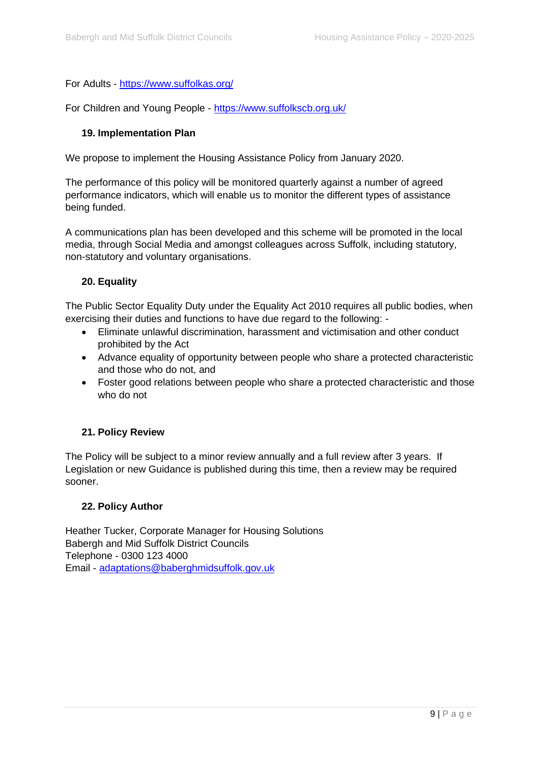# For Adults - <https://www.suffolkas.org/>

For Children and Young People - <https://www.suffolkscb.org.uk/>

# **19. Implementation Plan**

We propose to implement the Housing Assistance Policy from January 2020.

The performance of this policy will be monitored quarterly against a number of agreed performance indicators, which will enable us to monitor the different types of assistance being funded.

A communications plan has been developed and this scheme will be promoted in the local media, through Social Media and amongst colleagues across Suffolk, including statutory, non-statutory and voluntary organisations.

# **20. Equality**

The Public Sector Equality Duty under the Equality Act 2010 requires all public bodies, when exercising their duties and functions to have due regard to the following: -

- Eliminate unlawful discrimination, harassment and victimisation and other conduct prohibited by the Act
- Advance equality of opportunity between people who share a protected characteristic and those who do not, and
- Foster good relations between people who share a protected characteristic and those who do not

# **21. Policy Review**

The Policy will be subject to a minor review annually and a full review after 3 years. If Legislation or new Guidance is published during this time, then a review may be required sooner.

# **22. Policy Author**

Heather Tucker, Corporate Manager for Housing Solutions Babergh and Mid Suffolk District Councils Telephone - 0300 123 4000 Email - [adaptations@baberghmidsuffolk.gov.uk](mailto:adaptations@baberghmidsuffolk.gov.uk)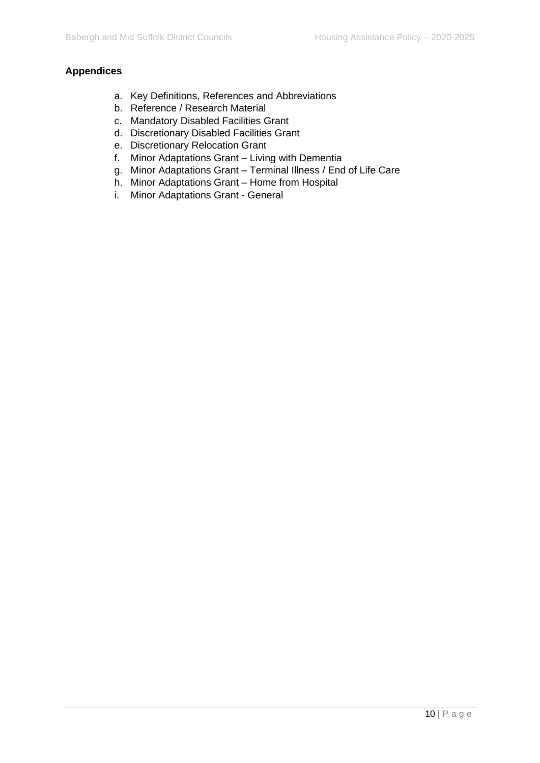# **Appendices**

- a. Key Definitions, References and Abbreviations
- b. Reference / Research Material
- c. Mandatory Disabled Facilities Grant
- d. Discretionary Disabled Facilities Grant
- e. Discretionary Relocation Grant
- f. Minor Adaptations Grant Living with Dementia
- g. Minor Adaptations Grant Terminal Illness / End of Life Care
- h. Minor Adaptations Grant Home from Hospital
- i. Minor Adaptations Grant General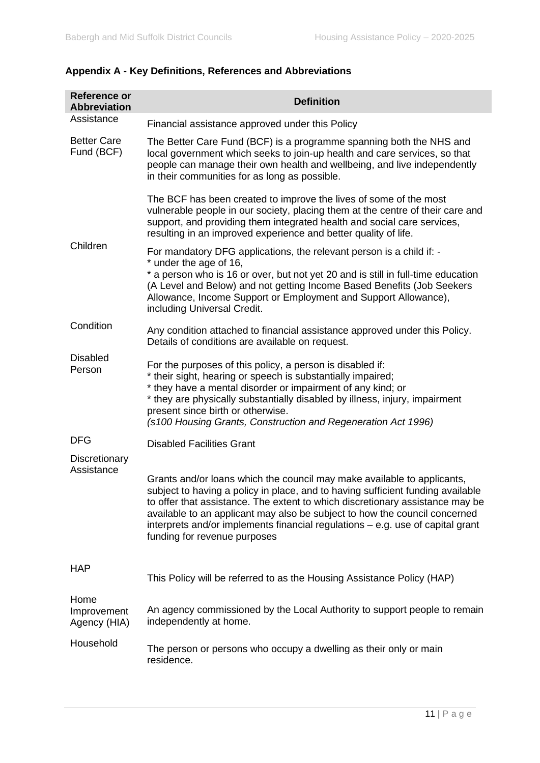| <b>Reference or</b><br><b>Abbreviation</b> | <b>Definition</b>                                                                                                                                                                                                                                                                                                                                                                                                                             |
|--------------------------------------------|-----------------------------------------------------------------------------------------------------------------------------------------------------------------------------------------------------------------------------------------------------------------------------------------------------------------------------------------------------------------------------------------------------------------------------------------------|
| Assistance                                 | Financial assistance approved under this Policy                                                                                                                                                                                                                                                                                                                                                                                               |
| <b>Better Care</b><br>Fund (BCF)           | The Better Care Fund (BCF) is a programme spanning both the NHS and<br>local government which seeks to join-up health and care services, so that<br>people can manage their own health and wellbeing, and live independently<br>in their communities for as long as possible.                                                                                                                                                                 |
|                                            | The BCF has been created to improve the lives of some of the most<br>vulnerable people in our society, placing them at the centre of their care and<br>support, and providing them integrated health and social care services,<br>resulting in an improved experience and better quality of life.                                                                                                                                             |
| Children                                   | For mandatory DFG applications, the relevant person is a child if: -<br>* under the age of 16,<br>* a person who is 16 or over, but not yet 20 and is still in full-time education<br>(A Level and Below) and not getting Income Based Benefits (Job Seekers<br>Allowance, Income Support or Employment and Support Allowance),<br>including Universal Credit.                                                                                |
| Condition                                  | Any condition attached to financial assistance approved under this Policy.<br>Details of conditions are available on request.                                                                                                                                                                                                                                                                                                                 |
| <b>Disabled</b><br>Person                  | For the purposes of this policy, a person is disabled if:<br>* their sight, hearing or speech is substantially impaired;<br>* they have a mental disorder or impairment of any kind; or<br>* they are physically substantially disabled by illness, injury, impairment<br>present since birth or otherwise.<br>(s100 Housing Grants, Construction and Regeneration Act 1996)                                                                  |
| <b>DFG</b>                                 | <b>Disabled Facilities Grant</b>                                                                                                                                                                                                                                                                                                                                                                                                              |
| Discretionary<br>Assistance                | Grants and/or loans which the council may make available to applicants,<br>subject to having a policy in place, and to having sufficient funding available<br>to offer that assistance. The extent to which discretionary assistance may be<br>available to an applicant may also be subject to how the council concerned<br>interprets and/or implements financial regulations $-$ e.g. use of capital grant<br>funding for revenue purposes |
| <b>HAP</b>                                 | This Policy will be referred to as the Housing Assistance Policy (HAP)                                                                                                                                                                                                                                                                                                                                                                        |
| Home<br>Improvement<br>Agency (HIA)        | An agency commissioned by the Local Authority to support people to remain<br>independently at home.                                                                                                                                                                                                                                                                                                                                           |
| Household                                  | The person or persons who occupy a dwelling as their only or main<br>residence.                                                                                                                                                                                                                                                                                                                                                               |

# **Appendix A - Key Definitions, References and Abbreviations**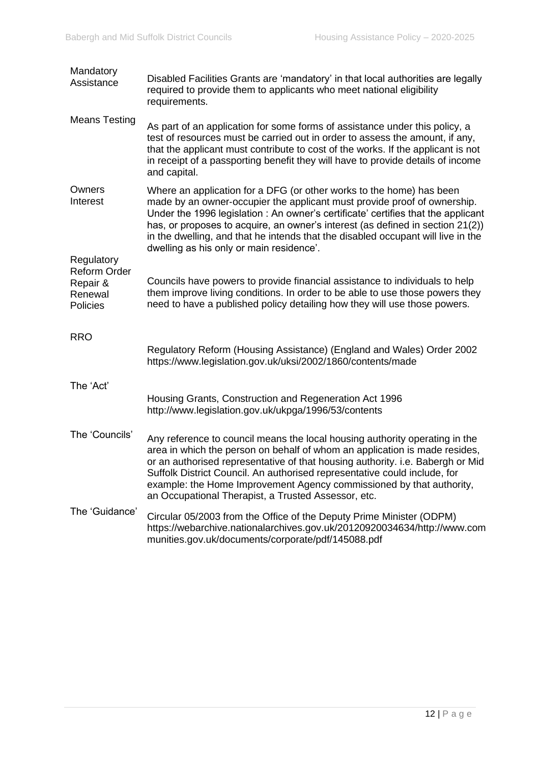| Mandatory<br>Assistance                                              | Disabled Facilities Grants are 'mandatory' in that local authorities are legally<br>required to provide them to applicants who meet national eligibility<br>requirements.                                                                                                                                                                                                                                                                               |
|----------------------------------------------------------------------|---------------------------------------------------------------------------------------------------------------------------------------------------------------------------------------------------------------------------------------------------------------------------------------------------------------------------------------------------------------------------------------------------------------------------------------------------------|
| <b>Means Testing</b>                                                 | As part of an application for some forms of assistance under this policy, a<br>test of resources must be carried out in order to assess the amount, if any,<br>that the applicant must contribute to cost of the works. If the applicant is not<br>in receipt of a passporting benefit they will have to provide details of income<br>and capital.                                                                                                      |
| Owners<br>Interest                                                   | Where an application for a DFG (or other works to the home) has been<br>made by an owner-occupier the applicant must provide proof of ownership.<br>Under the 1996 legislation : An owner's certificate' certifies that the applicant<br>has, or proposes to acquire, an owner's interest (as defined in section 21(2))<br>in the dwelling, and that he intends that the disabled occupant will live in the<br>dwelling as his only or main residence'. |
| Regulatory<br><b>Reform Order</b><br>Repair &<br>Renewal<br>Policies | Councils have powers to provide financial assistance to individuals to help<br>them improve living conditions. In order to be able to use those powers they<br>need to have a published policy detailing how they will use those powers.                                                                                                                                                                                                                |
| <b>RRO</b>                                                           | Regulatory Reform (Housing Assistance) (England and Wales) Order 2002<br>https://www.legislation.gov.uk/uksi/2002/1860/contents/made                                                                                                                                                                                                                                                                                                                    |
| The 'Act'                                                            | Housing Grants, Construction and Regeneration Act 1996<br>http://www.legislation.gov.uk/ukpga/1996/53/contents                                                                                                                                                                                                                                                                                                                                          |
| The 'Councils'                                                       | Any reference to council means the local housing authority operating in the<br>area in which the person on behalf of whom an application is made resides,<br>or an authorised representative of that housing authority. i.e. Babergh or Mid<br>Suffolk District Council. An authorised representative could include, for<br>example: the Home Improvement Agency commissioned by that authority,<br>an Occupational Therapist, a Trusted Assessor, etc. |
| The 'Guidance'                                                       | Circular 05/2003 from the Office of the Deputy Prime Minister (ODPM)<br>https://webarchive.nationalarchives.gov.uk/20120920034634/http://www.com<br>munities.gov.uk/documents/corporate/pdf/145088.pdf                                                                                                                                                                                                                                                  |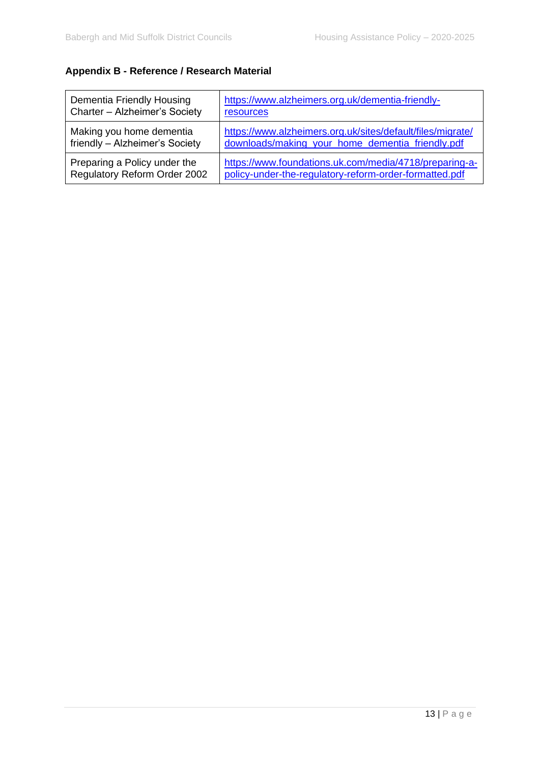# **Appendix B - Reference / Research Material**

| Dementia Friendly Housing      | https://www.alzheimers.org.uk/dementia-friendly-           |
|--------------------------------|------------------------------------------------------------|
| Charter - Alzheimer's Society  | <b>resources</b>                                           |
| Making you home dementia       | https://www.alzheimers.org.uk/sites/default/files/migrate/ |
| friendly - Alzheimer's Society | downloads/making_your_home_dementia_friendly.pdf           |
| Preparing a Policy under the   | https://www.foundations.uk.com/media/4718/preparing-a-     |
| Regulatory Reform Order 2002   | policy-under-the-regulatory-reform-order-formatted.pdf     |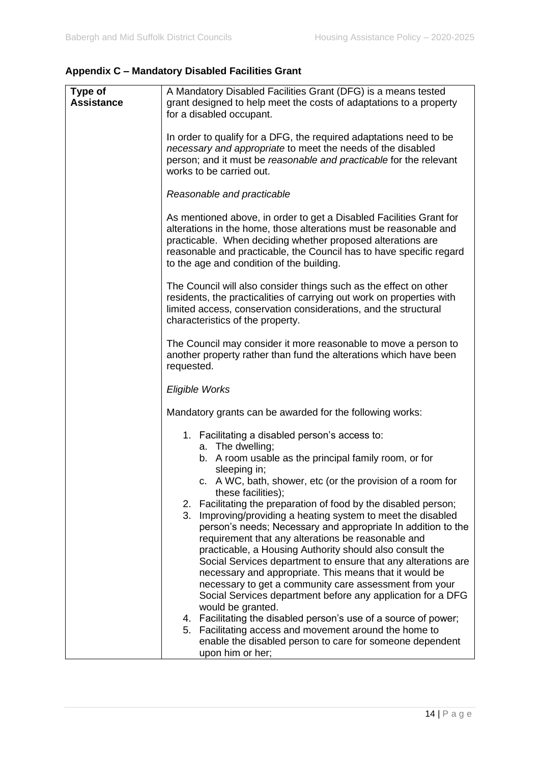# **Appendix C – Mandatory Disabled Facilities Grant**

| Type of<br><b>Assistance</b> | A Mandatory Disabled Facilities Grant (DFG) is a means tested<br>grant designed to help meet the costs of adaptations to a property<br>for a disabled occupant.<br>In order to qualify for a DFG, the required adaptations need to be<br>necessary and appropriate to meet the needs of the disabled<br>person; and it must be reasonable and practicable for the relevant |
|------------------------------|----------------------------------------------------------------------------------------------------------------------------------------------------------------------------------------------------------------------------------------------------------------------------------------------------------------------------------------------------------------------------|
|                              | works to be carried out.                                                                                                                                                                                                                                                                                                                                                   |
|                              | Reasonable and practicable                                                                                                                                                                                                                                                                                                                                                 |
|                              | As mentioned above, in order to get a Disabled Facilities Grant for<br>alterations in the home, those alterations must be reasonable and<br>practicable. When deciding whether proposed alterations are<br>reasonable and practicable, the Council has to have specific regard<br>to the age and condition of the building.                                                |
|                              | The Council will also consider things such as the effect on other<br>residents, the practicalities of carrying out work on properties with<br>limited access, conservation considerations, and the structural<br>characteristics of the property.                                                                                                                          |
|                              | The Council may consider it more reasonable to move a person to<br>another property rather than fund the alterations which have been<br>requested.                                                                                                                                                                                                                         |
|                              | Eligible Works                                                                                                                                                                                                                                                                                                                                                             |
|                              | Mandatory grants can be awarded for the following works:                                                                                                                                                                                                                                                                                                                   |
|                              | 1. Facilitating a disabled person's access to:                                                                                                                                                                                                                                                                                                                             |
|                              | a. The dwelling;<br>b. A room usable as the principal family room, or for                                                                                                                                                                                                                                                                                                  |
|                              | sleeping in;<br>c. A WC, bath, shower, etc (or the provision of a room for<br>these facilities);                                                                                                                                                                                                                                                                           |
|                              | 2. Facilitating the preparation of food by the disabled person;                                                                                                                                                                                                                                                                                                            |
|                              | 3.<br>Improving/providing a heating system to meet the disabled<br>person's needs; Necessary and appropriate In addition to the                                                                                                                                                                                                                                            |
|                              | requirement that any alterations be reasonable and<br>practicable, a Housing Authority should also consult the                                                                                                                                                                                                                                                             |
|                              | Social Services department to ensure that any alterations are                                                                                                                                                                                                                                                                                                              |
|                              | necessary and appropriate. This means that it would be<br>necessary to get a community care assessment from your                                                                                                                                                                                                                                                           |
|                              | Social Services department before any application for a DFG<br>would be granted.                                                                                                                                                                                                                                                                                           |
|                              | 4. Facilitating the disabled person's use of a source of power;                                                                                                                                                                                                                                                                                                            |
|                              | 5. Facilitating access and movement around the home to<br>enable the disabled person to care for someone dependent<br>upon him or her;                                                                                                                                                                                                                                     |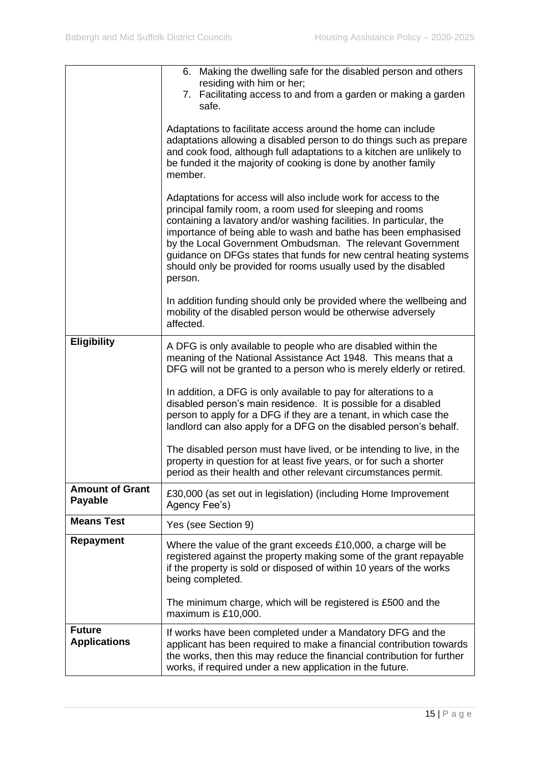|                                          | 6. Making the dwelling safe for the disabled person and others<br>residing with him or her;<br>7. Facilitating access to and from a garden or making a garden<br>safe.                                                                                                                                                                                                                                                                                                                 |
|------------------------------------------|----------------------------------------------------------------------------------------------------------------------------------------------------------------------------------------------------------------------------------------------------------------------------------------------------------------------------------------------------------------------------------------------------------------------------------------------------------------------------------------|
|                                          | Adaptations to facilitate access around the home can include<br>adaptations allowing a disabled person to do things such as prepare<br>and cook food, although full adaptations to a kitchen are unlikely to<br>be funded it the majority of cooking is done by another family<br>member.                                                                                                                                                                                              |
|                                          | Adaptations for access will also include work for access to the<br>principal family room, a room used for sleeping and rooms<br>containing a lavatory and/or washing facilities. In particular, the<br>importance of being able to wash and bathe has been emphasised<br>by the Local Government Ombudsman. The relevant Government<br>guidance on DFGs states that funds for new central heating systems<br>should only be provided for rooms usually used by the disabled<br>person. |
|                                          | In addition funding should only be provided where the wellbeing and<br>mobility of the disabled person would be otherwise adversely<br>affected.                                                                                                                                                                                                                                                                                                                                       |
| <b>Eligibility</b>                       | A DFG is only available to people who are disabled within the<br>meaning of the National Assistance Act 1948. This means that a<br>DFG will not be granted to a person who is merely elderly or retired.                                                                                                                                                                                                                                                                               |
|                                          | In addition, a DFG is only available to pay for alterations to a<br>disabled person's main residence. It is possible for a disabled<br>person to apply for a DFG if they are a tenant, in which case the<br>landlord can also apply for a DFG on the disabled person's behalf.                                                                                                                                                                                                         |
|                                          | The disabled person must have lived, or be intending to live, in the<br>property in question for at least five years, or for such a shorter<br>period as their health and other relevant circumstances permit.                                                                                                                                                                                                                                                                         |
| <b>Amount of Grant</b><br><b>Payable</b> | £30,000 (as set out in legislation) (including Home Improvement<br>Agency Fee's)                                                                                                                                                                                                                                                                                                                                                                                                       |
| <b>Means Test</b>                        | Yes (see Section 9)                                                                                                                                                                                                                                                                                                                                                                                                                                                                    |
| <b>Repayment</b>                         | Where the value of the grant exceeds £10,000, a charge will be<br>registered against the property making some of the grant repayable<br>if the property is sold or disposed of within 10 years of the works<br>being completed.                                                                                                                                                                                                                                                        |
|                                          | The minimum charge, which will be registered is £500 and the<br>maximum is £10,000.                                                                                                                                                                                                                                                                                                                                                                                                    |
| <b>Future</b><br><b>Applications</b>     | If works have been completed under a Mandatory DFG and the<br>applicant has been required to make a financial contribution towards<br>the works, then this may reduce the financial contribution for further<br>works, if required under a new application in the future.                                                                                                                                                                                                              |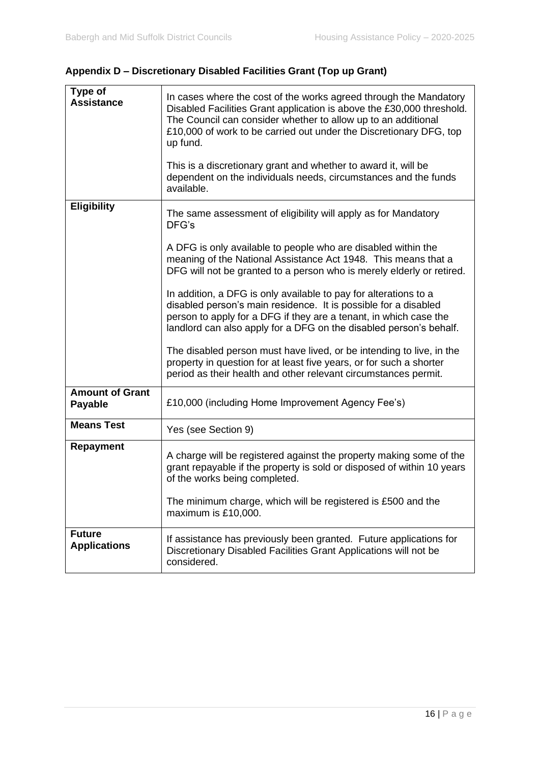| Type of<br><b>Assistance</b>             | In cases where the cost of the works agreed through the Mandatory<br>Disabled Facilities Grant application is above the £30,000 threshold.<br>The Council can consider whether to allow up to an additional<br>£10,000 of work to be carried out under the Discretionary DFG, top<br>up fund.<br>This is a discretionary grant and whether to award it, will be<br>dependent on the individuals needs, circumstances and the funds<br>available. |
|------------------------------------------|--------------------------------------------------------------------------------------------------------------------------------------------------------------------------------------------------------------------------------------------------------------------------------------------------------------------------------------------------------------------------------------------------------------------------------------------------|
| <b>Eligibility</b>                       | The same assessment of eligibility will apply as for Mandatory<br>DFG's                                                                                                                                                                                                                                                                                                                                                                          |
|                                          | A DFG is only available to people who are disabled within the<br>meaning of the National Assistance Act 1948. This means that a<br>DFG will not be granted to a person who is merely elderly or retired.                                                                                                                                                                                                                                         |
|                                          | In addition, a DFG is only available to pay for alterations to a<br>disabled person's main residence. It is possible for a disabled<br>person to apply for a DFG if they are a tenant, in which case the<br>landlord can also apply for a DFG on the disabled person's behalf.                                                                                                                                                                   |
|                                          | The disabled person must have lived, or be intending to live, in the<br>property in question for at least five years, or for such a shorter<br>period as their health and other relevant circumstances permit.                                                                                                                                                                                                                                   |
| <b>Amount of Grant</b><br><b>Payable</b> | £10,000 (including Home Improvement Agency Fee's)                                                                                                                                                                                                                                                                                                                                                                                                |
| <b>Means Test</b>                        | Yes (see Section 9)                                                                                                                                                                                                                                                                                                                                                                                                                              |
| Repayment                                | A charge will be registered against the property making some of the<br>grant repayable if the property is sold or disposed of within 10 years<br>of the works being completed.<br>The minimum charge, which will be registered is £500 and the                                                                                                                                                                                                   |
|                                          | maximum is £10,000.                                                                                                                                                                                                                                                                                                                                                                                                                              |
| <b>Future</b><br><b>Applications</b>     | If assistance has previously been granted. Future applications for<br>Discretionary Disabled Facilities Grant Applications will not be<br>considered.                                                                                                                                                                                                                                                                                            |

**Appendix D – Discretionary Disabled Facilities Grant (Top up Grant)**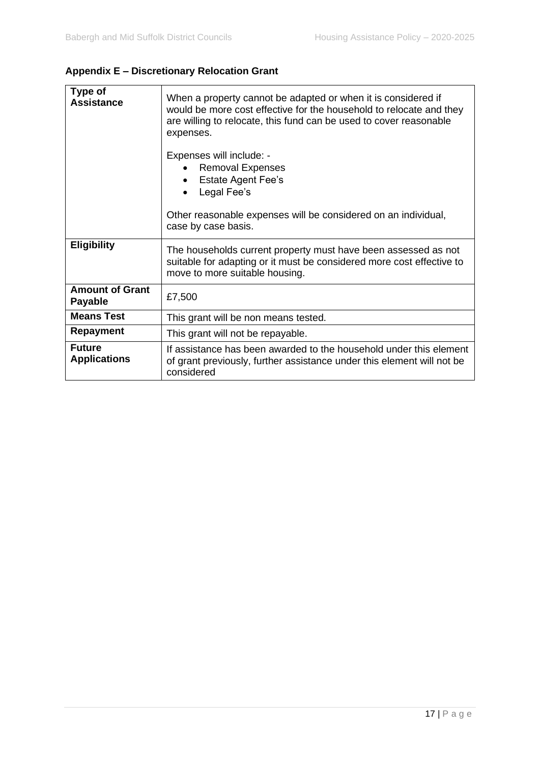# **Appendix E – Discretionary Relocation Grant**

| Type of<br><b>Assistance</b>             | When a property cannot be adapted or when it is considered if<br>would be more cost effective for the household to relocate and they<br>are willing to relocate, this fund can be used to cover reasonable<br>expenses.<br>Expenses will include: -<br><b>Removal Expenses</b><br><b>Estate Agent Fee's</b> |
|------------------------------------------|-------------------------------------------------------------------------------------------------------------------------------------------------------------------------------------------------------------------------------------------------------------------------------------------------------------|
|                                          | Legal Fee's                                                                                                                                                                                                                                                                                                 |
|                                          | Other reasonable expenses will be considered on an individual,<br>case by case basis.                                                                                                                                                                                                                       |
| <b>Eligibility</b>                       | The households current property must have been assessed as not<br>suitable for adapting or it must be considered more cost effective to<br>move to more suitable housing.                                                                                                                                   |
| <b>Amount of Grant</b><br><b>Payable</b> | £7,500                                                                                                                                                                                                                                                                                                      |
| <b>Means Test</b>                        | This grant will be non means tested.                                                                                                                                                                                                                                                                        |
| <b>Repayment</b>                         | This grant will not be repayable.                                                                                                                                                                                                                                                                           |
| <b>Future</b><br><b>Applications</b>     | If assistance has been awarded to the household under this element<br>of grant previously, further assistance under this element will not be<br>considered                                                                                                                                                  |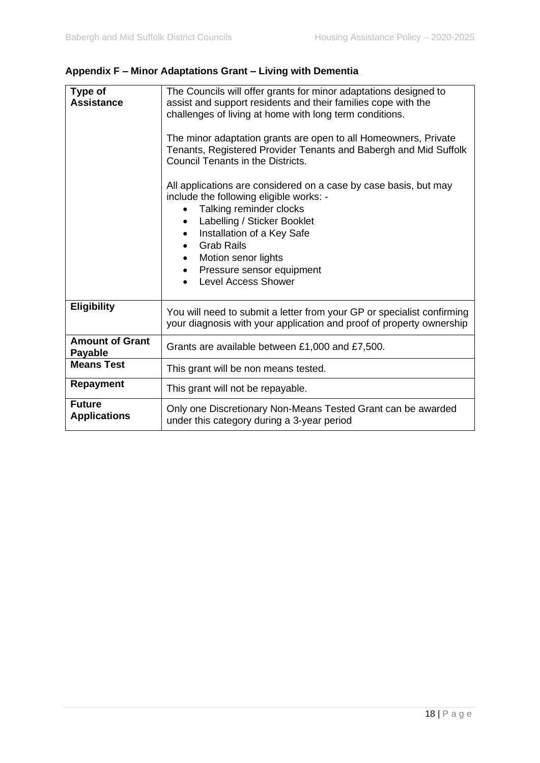| Type of<br><b>Assistance</b>             | The Councils will offer grants for minor adaptations designed to<br>assist and support residents and their families cope with the<br>challenges of living at home with long term conditions.<br>The minor adaptation grants are open to all Homeowners, Private<br>Tenants, Registered Provider Tenants and Babergh and Mid Suffolk<br>Council Tenants in the Districts.<br>All applications are considered on a case by case basis, but may<br>include the following eligible works: -<br>Talking reminder clocks<br>Labelling / Sticker Booklet<br>$\bullet$<br>Installation of a Key Safe<br><b>Grab Rails</b><br>Motion senor lights<br>Pressure sensor equipment<br>$\bullet$<br><b>Level Access Shower</b> |
|------------------------------------------|------------------------------------------------------------------------------------------------------------------------------------------------------------------------------------------------------------------------------------------------------------------------------------------------------------------------------------------------------------------------------------------------------------------------------------------------------------------------------------------------------------------------------------------------------------------------------------------------------------------------------------------------------------------------------------------------------------------|
| <b>Eligibility</b>                       | You will need to submit a letter from your GP or specialist confirming<br>your diagnosis with your application and proof of property ownership                                                                                                                                                                                                                                                                                                                                                                                                                                                                                                                                                                   |
| <b>Amount of Grant</b><br><b>Payable</b> | Grants are available between £1,000 and £7,500.                                                                                                                                                                                                                                                                                                                                                                                                                                                                                                                                                                                                                                                                  |
| <b>Means Test</b>                        | This grant will be non means tested.                                                                                                                                                                                                                                                                                                                                                                                                                                                                                                                                                                                                                                                                             |
| Repayment                                | This grant will not be repayable.                                                                                                                                                                                                                                                                                                                                                                                                                                                                                                                                                                                                                                                                                |
| <b>Future</b><br><b>Applications</b>     | Only one Discretionary Non-Means Tested Grant can be awarded<br>under this category during a 3-year period                                                                                                                                                                                                                                                                                                                                                                                                                                                                                                                                                                                                       |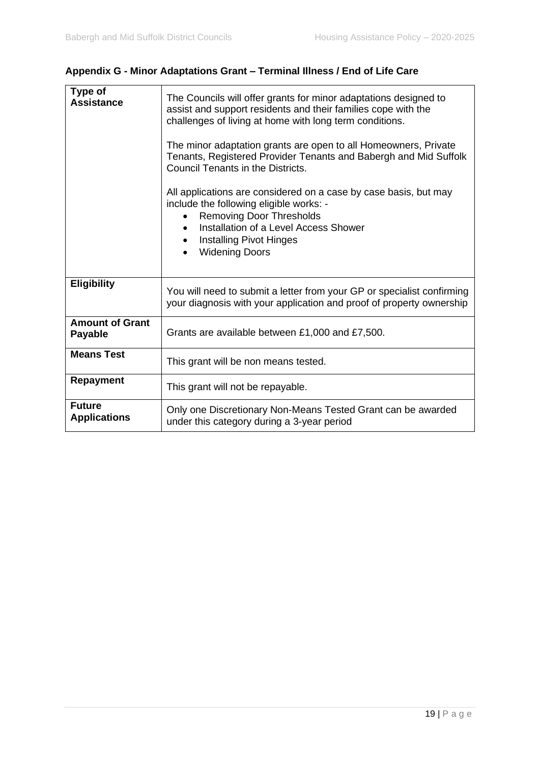| Type of<br><b>Assistance</b>             | The Councils will offer grants for minor adaptations designed to<br>assist and support residents and their families cope with the<br>challenges of living at home with long term conditions.<br>The minor adaptation grants are open to all Homeowners, Private<br>Tenants, Registered Provider Tenants and Babergh and Mid Suffolk<br>Council Tenants in the Districts.<br>All applications are considered on a case by case basis, but may<br>include the following eligible works: -<br><b>Removing Door Thresholds</b><br>$\bullet$<br>Installation of a Level Access Shower<br><b>Installing Pivot Hinges</b><br><b>Widening Doors</b> |
|------------------------------------------|---------------------------------------------------------------------------------------------------------------------------------------------------------------------------------------------------------------------------------------------------------------------------------------------------------------------------------------------------------------------------------------------------------------------------------------------------------------------------------------------------------------------------------------------------------------------------------------------------------------------------------------------|
| <b>Eligibility</b>                       | You will need to submit a letter from your GP or specialist confirming<br>your diagnosis with your application and proof of property ownership                                                                                                                                                                                                                                                                                                                                                                                                                                                                                              |
| <b>Amount of Grant</b><br><b>Payable</b> | Grants are available between £1,000 and £7,500.                                                                                                                                                                                                                                                                                                                                                                                                                                                                                                                                                                                             |
| <b>Means Test</b>                        | This grant will be non means tested.                                                                                                                                                                                                                                                                                                                                                                                                                                                                                                                                                                                                        |
| <b>Repayment</b>                         | This grant will not be repayable.                                                                                                                                                                                                                                                                                                                                                                                                                                                                                                                                                                                                           |
| <b>Future</b><br><b>Applications</b>     | Only one Discretionary Non-Means Tested Grant can be awarded<br>under this category during a 3-year period                                                                                                                                                                                                                                                                                                                                                                                                                                                                                                                                  |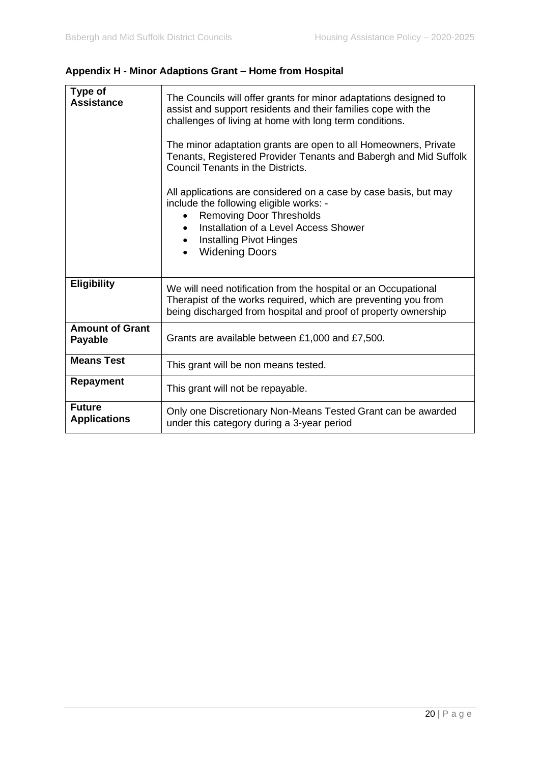# **Appendix H - Minor Adaptions Grant – Home from Hospital**

| Type of<br><b>Assistance</b>             | The Councils will offer grants for minor adaptations designed to<br>assist and support residents and their families cope with the<br>challenges of living at home with long term conditions.<br>The minor adaptation grants are open to all Homeowners, Private<br>Tenants, Registered Provider Tenants and Babergh and Mid Suffolk<br>Council Tenants in the Districts.<br>All applications are considered on a case by case basis, but may<br>include the following eligible works: -<br><b>Removing Door Thresholds</b><br>Installation of a Level Access Shower<br><b>Installing Pivot Hinges</b><br><b>Widening Doors</b> |
|------------------------------------------|--------------------------------------------------------------------------------------------------------------------------------------------------------------------------------------------------------------------------------------------------------------------------------------------------------------------------------------------------------------------------------------------------------------------------------------------------------------------------------------------------------------------------------------------------------------------------------------------------------------------------------|
| <b>Eligibility</b>                       | We will need notification from the hospital or an Occupational<br>Therapist of the works required, which are preventing you from<br>being discharged from hospital and proof of property ownership                                                                                                                                                                                                                                                                                                                                                                                                                             |
| <b>Amount of Grant</b><br><b>Payable</b> | Grants are available between £1,000 and £7,500.                                                                                                                                                                                                                                                                                                                                                                                                                                                                                                                                                                                |
| <b>Means Test</b>                        | This grant will be non means tested.                                                                                                                                                                                                                                                                                                                                                                                                                                                                                                                                                                                           |
| <b>Repayment</b>                         | This grant will not be repayable.                                                                                                                                                                                                                                                                                                                                                                                                                                                                                                                                                                                              |
| <b>Future</b><br><b>Applications</b>     | Only one Discretionary Non-Means Tested Grant can be awarded<br>under this category during a 3-year period                                                                                                                                                                                                                                                                                                                                                                                                                                                                                                                     |